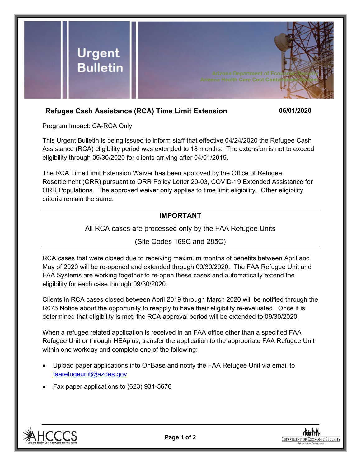

## **Refugee Cash Assistance (RCA) Time Limit Extension 06/01/2020**

Program Impact: CA-RCA Only

This Urgent Bulletin is being issued to inform staff that effective 04/24/2020 the Refugee Cash Assistance (RCA) eligibility period was extended to 18 months. The extension is not to exceed eligibility through 09/30/2020 for clients arriving after 04/01/2019.

The RCA Time Limit Extension Waiver has been approved by the Office of Refugee Resettlement (ORR) pursuant to ORR Policy Letter 20-03, COVID-19 Extended Assistance for ORR Populations. The approved waiver only applies to time limit eligibility. Other eligibility criteria remain the same.

## **IMPORTANT**

All RCA cases are processed only by the FAA Refugee Units

(Site Codes 169C and 285C)

RCA cases that were closed due to receiving maximum months of benefits between April and May of 2020 will be re-opened and extended through 09/30/2020. The FAA Refugee Unit and FAA Systems are working together to re-open these cases and automatically extend the eligibility for each case through 09/30/2020.

Clients in RCA cases closed between April 2019 through March 2020 will be notified through the R075 Notice about the opportunity to reapply to have their eligibility re-evaluated. Once it is determined that eligibility is met, the RCA approval period will be extended to 09/30/2020.

When a refugee related application is received in an FAA office other than a specified FAA Refugee Unit or through HEAplus, transfer the application to the appropriate FAA Refugee Unit within one workday and complete one of the following:

- Upload paper applications into OnBase and notify the FAA Refugee Unit via email to [faarefugeunit@azdes.gov](mailto:faarefugeunit@azdes.gov)
- Fax paper applications to (623) 931-5676